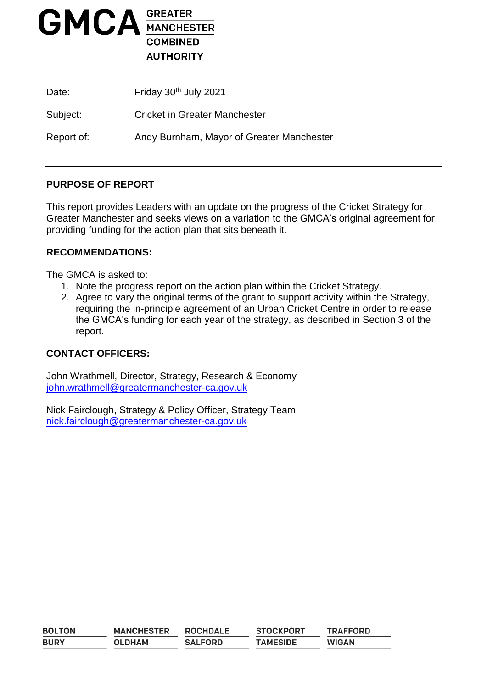

| Date:      | Friday 30th July 2021                     |
|------------|-------------------------------------------|
| Subject:   | <b>Cricket in Greater Manchester</b>      |
| Report of: | Andy Burnham, Mayor of Greater Manchester |

# **PURPOSE OF REPORT**

This report provides Leaders with an update on the progress of the Cricket Strategy for Greater Manchester and seeks views on a variation to the GMCA's original agreement for providing funding for the action plan that sits beneath it.

#### **RECOMMENDATIONS:**

The GMCA is asked to:

- 1. Note the progress report on the action plan within the Cricket Strategy.
- 2. Agree to vary the original terms of the grant to support activity within the Strategy, requiring the in-principle agreement of an Urban Cricket Centre in order to release the GMCA's funding for each year of the strategy, as described in Section 3 of the report.

#### **CONTACT OFFICERS:**

John Wrathmell, Director, Strategy, Research & Economy [john.wrathmell@greatermanchester-ca.gov.uk](mailto:john.wrathmell@greatermanchester-ca.gov.uk)

Nick Fairclough, Strategy & Policy Officer, Strategy Team [nick.fairclough@greatermanchester-ca.gov.uk](mailto:nick.fairclough@greatermanchester-ca.gov.uk)

| <b>BOLTON</b> | <b>MANCHESTER</b> | <b>ROCHDALE</b> | <b>STOCKPORT</b> | <b>TRAFFORD</b> |
|---------------|-------------------|-----------------|------------------|-----------------|
| <b>BURY</b>   | <b>OLDHAM</b>     | <b>SALFORD</b>  | <b>TAMESIDE</b>  | <b>WIGAN</b>    |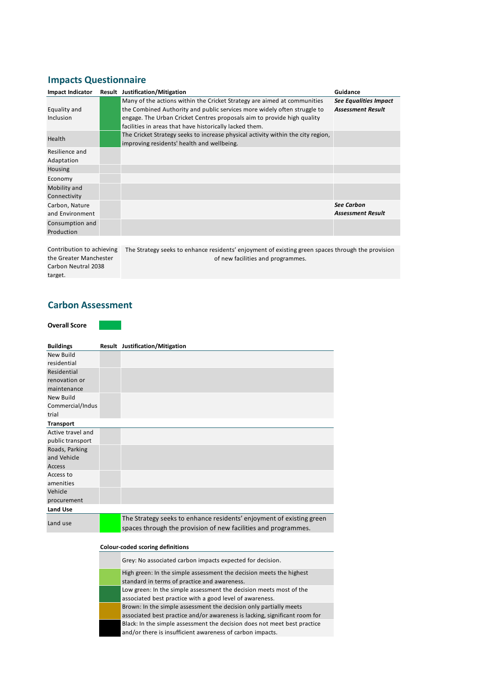# **Impacts Questionnaire**

| <b>Impact Indicator</b> | <b>Result Justification/Mitigation</b>                                           | Guidance                     |
|-------------------------|----------------------------------------------------------------------------------|------------------------------|
|                         | Many of the actions within the Cricket Strategy are aimed at communities         | <b>See Equalities Impact</b> |
| Equality and            | the Combined Authority and public services more widely often struggle to         | <b>Assessment Result</b>     |
| <b>Inclusion</b>        | engage. The Urban Cricket Centres proposals aim to provide high quality          |                              |
|                         | facilities in areas that have historically lacked them.                          |                              |
| Health                  | The Cricket Strategy seeks to increase physical activity within the city region, |                              |
|                         | improving residents' health and wellbeing.                                       |                              |
| Resilience and          |                                                                                  |                              |
| Adaptation              |                                                                                  |                              |
| Housing                 |                                                                                  |                              |
| Economy                 |                                                                                  |                              |
| Mobility and            |                                                                                  |                              |
| Connectivity            |                                                                                  |                              |
| Carbon, Nature          |                                                                                  | <b>See Carbon</b>            |
| and Environment         |                                                                                  | <b>Assessment Result</b>     |
| Consumption and         |                                                                                  |                              |
| Production              |                                                                                  |                              |

the Greater Manchester Carbon Neutral 2038 target.

Contribution to achieving The Strategy seeks to enhance residents' enjoyment of existing green spaces through the provision of new facilities and programmes.

#### **Carbon Assessment**

#### **Overall Score**

| <b>Buildings</b>  | Result Justification/Mitigation                                      |
|-------------------|----------------------------------------------------------------------|
| New Build         |                                                                      |
| residential       |                                                                      |
| Residential       |                                                                      |
| renovation or     |                                                                      |
| maintenance       |                                                                      |
| New Build         |                                                                      |
| Commercial/Indus  |                                                                      |
| trial             |                                                                      |
| <b>Transport</b>  |                                                                      |
| Active travel and |                                                                      |
| public transport  |                                                                      |
| Roads, Parking    |                                                                      |
| and Vehicle       |                                                                      |
| Access            |                                                                      |
| Access to         |                                                                      |
| amenities         |                                                                      |
| Vehicle           |                                                                      |
| procurement       |                                                                      |
| Land Use          |                                                                      |
| Land use          | The Strategy seeks to enhance residents' enjoyment of existing green |
|                   | spaces through the provision of new facilities and programmes.       |

#### **Colour-coded scoring definitions**

| Grey: No associated carbon impacts expected for decision.                                                                                       |
|-------------------------------------------------------------------------------------------------------------------------------------------------|
| High green: In the simple assessment the decision meets the highest<br>standard in terms of practice and awareness.                             |
| Low green: In the simple assessment the decision meets most of the<br>associated best practice with a good level of awareness.                  |
| Brown: In the simple assessment the decision only partially meets<br>associated best practice and/or awareness is lacking, significant room for |
| Black: In the simple assessment the decision does not meet best practice<br>and/or there is insufficient awareness of carbon impacts.           |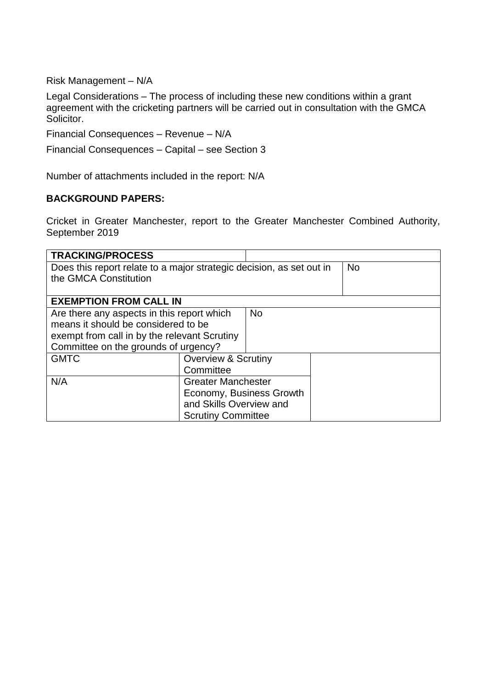Risk Management – N/A

Legal Considerations – The process of including these new conditions within a grant agreement with the cricketing partners will be carried out in consultation with the GMCA Solicitor.

Financial Consequences – Revenue – N/A

Financial Consequences – Capital – see Section 3

Number of attachments included in the report: N/A

### **BACKGROUND PAPERS:**

Cricket in Greater Manchester, report to the Greater Manchester Combined Authority, September 2019

| <b>TRACKING/PROCESS</b>                                              |                                |  |  |
|----------------------------------------------------------------------|--------------------------------|--|--|
| Does this report relate to a major strategic decision, as set out in | <b>No</b>                      |  |  |
| the GMCA Constitution                                                |                                |  |  |
| <b>EXEMPTION FROM CALL IN</b>                                        |                                |  |  |
| Are there any aspects in this report which<br><b>No</b>              |                                |  |  |
| means it should be considered to be                                  |                                |  |  |
| exempt from call in by the relevant Scrutiny                         |                                |  |  |
| Committee on the grounds of urgency?                                 |                                |  |  |
| <b>GMTC</b>                                                          | <b>Overview &amp; Scrutiny</b> |  |  |
|                                                                      | Committee                      |  |  |
| N/A                                                                  | <b>Greater Manchester</b>      |  |  |
|                                                                      | Economy, Business Growth       |  |  |
|                                                                      | and Skills Overview and        |  |  |
|                                                                      | <b>Scrutiny Committee</b>      |  |  |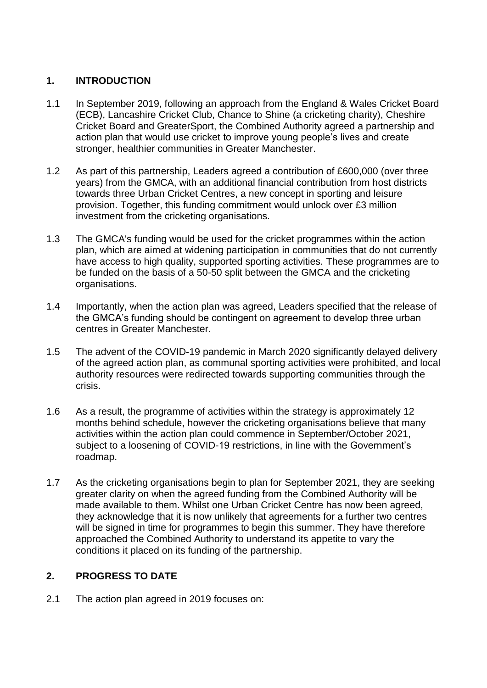# **1. INTRODUCTION**

- 1.1 In September 2019, following an approach from the England & Wales Cricket Board (ECB), Lancashire Cricket Club, Chance to Shine (a cricketing charity), Cheshire Cricket Board and GreaterSport, the Combined Authority agreed a partnership and action plan that would use cricket to improve young people's lives and create stronger, healthier communities in Greater Manchester.
- 1.2 As part of this partnership, Leaders agreed a contribution of £600,000 (over three years) from the GMCA, with an additional financial contribution from host districts towards three Urban Cricket Centres, a new concept in sporting and leisure provision. Together, this funding commitment would unlock over £3 million investment from the cricketing organisations.
- 1.3 The GMCA's funding would be used for the cricket programmes within the action plan, which are aimed at widening participation in communities that do not currently have access to high quality, supported sporting activities. These programmes are to be funded on the basis of a 50-50 split between the GMCA and the cricketing organisations.
- 1.4 Importantly, when the action plan was agreed, Leaders specified that the release of the GMCA's funding should be contingent on agreement to develop three urban centres in Greater Manchester.
- 1.5 The advent of the COVID-19 pandemic in March 2020 significantly delayed delivery of the agreed action plan, as communal sporting activities were prohibited, and local authority resources were redirected towards supporting communities through the crisis.
- 1.6 As a result, the programme of activities within the strategy is approximately 12 months behind schedule, however the cricketing organisations believe that many activities within the action plan could commence in September/October 2021, subject to a loosening of COVID-19 restrictions, in line with the Government's roadmap.
- 1.7 As the cricketing organisations begin to plan for September 2021, they are seeking greater clarity on when the agreed funding from the Combined Authority will be made available to them. Whilst one Urban Cricket Centre has now been agreed, they acknowledge that it is now unlikely that agreements for a further two centres will be signed in time for programmes to begin this summer. They have therefore approached the Combined Authority to understand its appetite to vary the conditions it placed on its funding of the partnership.

# **2. PROGRESS TO DATE**

2.1 The action plan agreed in 2019 focuses on: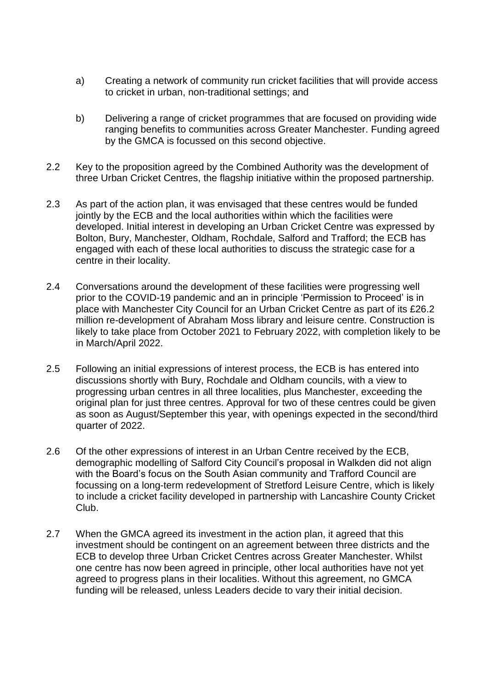- a) Creating a network of community run cricket facilities that will provide access to cricket in urban, non-traditional settings; and
- b) Delivering a range of cricket programmes that are focused on providing wide ranging benefits to communities across Greater Manchester. Funding agreed by the GMCA is focussed on this second objective.
- 2.2 Key to the proposition agreed by the Combined Authority was the development of three Urban Cricket Centres, the flagship initiative within the proposed partnership.
- 2.3 As part of the action plan, it was envisaged that these centres would be funded jointly by the ECB and the local authorities within which the facilities were developed. Initial interest in developing an Urban Cricket Centre was expressed by Bolton, Bury, Manchester, Oldham, Rochdale, Salford and Trafford; the ECB has engaged with each of these local authorities to discuss the strategic case for a centre in their locality.
- 2.4 Conversations around the development of these facilities were progressing well prior to the COVID-19 pandemic and an in principle 'Permission to Proceed' is in place with Manchester City Council for an Urban Cricket Centre as part of its £26.2 million re-development of Abraham Moss library and leisure centre. Construction is likely to take place from October 2021 to February 2022, with completion likely to be in March/April 2022.
- 2.5 Following an initial expressions of interest process, the ECB is has entered into discussions shortly with Bury, Rochdale and Oldham councils, with a view to progressing urban centres in all three localities, plus Manchester, exceeding the original plan for just three centres. Approval for two of these centres could be given as soon as August/September this year, with openings expected in the second/third quarter of 2022.
- 2.6 Of the other expressions of interest in an Urban Centre received by the ECB, demographic modelling of Salford City Council's proposal in Walkden did not align with the Board's focus on the South Asian community and Trafford Council are focussing on a long-term redevelopment of Stretford Leisure Centre, which is likely to include a cricket facility developed in partnership with Lancashire County Cricket Club.
- 2.7 When the GMCA agreed its investment in the action plan, it agreed that this investment should be contingent on an agreement between three districts and the ECB to develop three Urban Cricket Centres across Greater Manchester. Whilst one centre has now been agreed in principle, other local authorities have not yet agreed to progress plans in their localities. Without this agreement, no GMCA funding will be released, unless Leaders decide to vary their initial decision.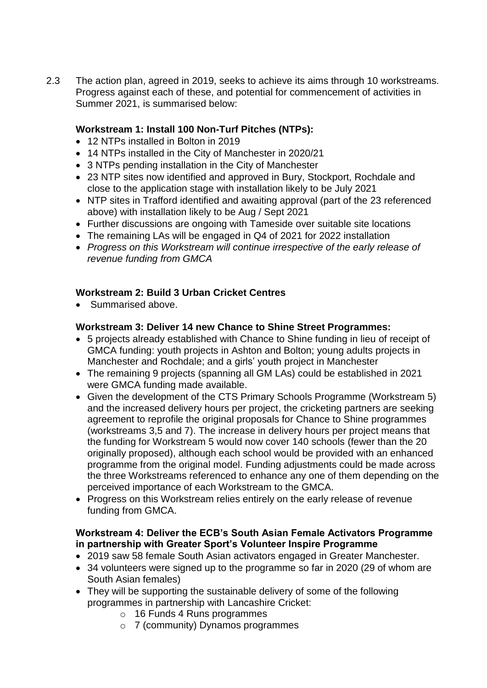2.3 The action plan, agreed in 2019, seeks to achieve its aims through 10 workstreams. Progress against each of these, and potential for commencement of activities in Summer 2021, is summarised below:

# **Workstream 1: Install 100 Non-Turf Pitches (NTPs):**

- 12 NTPs installed in Bolton in 2019
- 14 NTPs installed in the City of Manchester in 2020/21
- 3 NTPs pending installation in the City of Manchester
- 23 NTP sites now identified and approved in Bury, Stockport, Rochdale and close to the application stage with installation likely to be July 2021
- NTP sites in Trafford identified and awaiting approval (part of the 23 referenced above) with installation likely to be Aug / Sept 2021
- Further discussions are ongoing with Tameside over suitable site locations
- The remaining LAs will be engaged in Q4 of 2021 for 2022 installation
- *Progress on this Workstream will continue irrespective of the early release of revenue funding from GMCA*

### **Workstream 2: Build 3 Urban Cricket Centres**

• Summarised above.

#### **Workstream 3: Deliver 14 new Chance to Shine Street Programmes:**

- 5 projects already established with Chance to Shine funding in lieu of receipt of GMCA funding: youth projects in Ashton and Bolton; young adults projects in Manchester and Rochdale; and a girls' youth project in Manchester
- The remaining 9 projects (spanning all GM LAs) could be established in 2021 were GMCA funding made available.
- Given the development of the CTS Primary Schools Programme (Workstream 5) and the increased delivery hours per project, the cricketing partners are seeking agreement to reprofile the original proposals for Chance to Shine programmes (workstreams 3,5 and 7). The increase in delivery hours per project means that the funding for Workstream 5 would now cover 140 schools (fewer than the 20 originally proposed), although each school would be provided with an enhanced programme from the original model. Funding adjustments could be made across the three Workstreams referenced to enhance any one of them depending on the perceived importance of each Workstream to the GMCA.
- Progress on this Workstream relies entirely on the early release of revenue funding from GMCA.

### **Workstream 4: Deliver the ECB's South Asian Female Activators Programme in partnership with Greater Sport's Volunteer Inspire Programme**

- 2019 saw 58 female South Asian activators engaged in Greater Manchester.
- 34 volunteers were signed up to the programme so far in 2020 (29 of whom are South Asian females)
- They will be supporting the sustainable delivery of some of the following programmes in partnership with Lancashire Cricket:
	- o 16 Funds 4 Runs programmes
	- o 7 (community) Dynamos programmes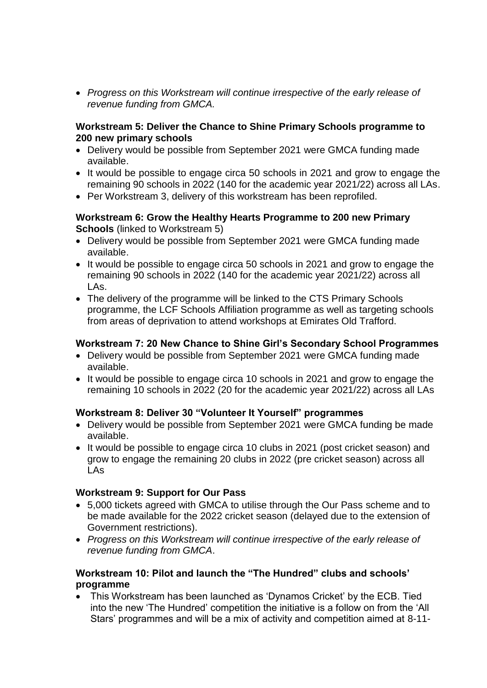*Progress on this Workstream will continue irrespective of the early release of revenue funding from GMCA.*

#### **Workstream 5: Deliver the Chance to Shine Primary Schools programme to 200 new primary schools**

- Delivery would be possible from September 2021 were GMCA funding made available.
- It would be possible to engage circa 50 schools in 2021 and grow to engage the remaining 90 schools in 2022 (140 for the academic year 2021/22) across all LAs.
- Per Workstream 3, delivery of this workstream has been reprofiled.

#### **Workstream 6: Grow the Healthy Hearts Programme to 200 new Primary Schools** (linked to Workstream 5)

- Delivery would be possible from September 2021 were GMCA funding made available.
- It would be possible to engage circa 50 schools in 2021 and grow to engage the remaining 90 schools in 2022 (140 for the academic year 2021/22) across all LAs.
- The delivery of the programme will be linked to the CTS Primary Schools programme, the LCF Schools Affiliation programme as well as targeting schools from areas of deprivation to attend workshops at Emirates Old Trafford.

### **Workstream 7: 20 New Chance to Shine Girl's Secondary School Programmes**

- Delivery would be possible from September 2021 were GMCA funding made available.
- It would be possible to engage circa 10 schools in 2021 and grow to engage the remaining 10 schools in 2022 (20 for the academic year 2021/22) across all LAs

#### **Workstream 8: Deliver 30 "Volunteer It Yourself" programmes**

- Delivery would be possible from September 2021 were GMCA funding be made available.
- It would be possible to engage circa 10 clubs in 2021 (post cricket season) and grow to engage the remaining 20 clubs in 2022 (pre cricket season) across all LAs

#### **Workstream 9: Support for Our Pass**

- 5,000 tickets agreed with GMCA to utilise through the Our Pass scheme and to be made available for the 2022 cricket season (delayed due to the extension of Government restrictions).
- *Progress on this Workstream will continue irrespective of the early release of revenue funding from GMCA*.

### **Workstream 10: Pilot and launch the "The Hundred" clubs and schools' programme**

 This Workstream has been launched as 'Dynamos Cricket' by the ECB. Tied into the new 'The Hundred' competition the initiative is a follow on from the 'All Stars' programmes and will be a mix of activity and competition aimed at 8-11